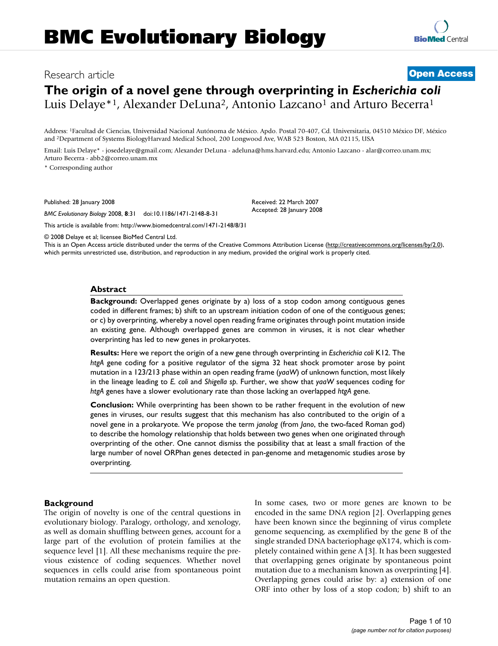# **The origin of a novel gene through overprinting in** *Escherichia coli* Luis Delaye\*<sup>1</sup>, Alexander DeLuna<sup>2</sup>, Antonio Lazcano<sup>1</sup> and Arturo Becerra<sup>1</sup>

Address: 1Facultad de Ciencias, Universidad Nacional Autónoma de México. Apdo. Postal 70-407, Cd. Universitaria, 04510 México DF, México and 2Department of Systems BiologyHarvard Medical School, 200 Longwood Ave, WAB 523 Boston, MA 02115, USA

Email: Luis Delaye\* - josedelaye@gmail.com; Alexander DeLuna - adeluna@hms.harvard.edu; Antonio Lazcano - alar@correo.unam.mx; Arturo Becerra - abb2@correo.unam.mx

\* Corresponding author

Published: 28 January 2008

*BMC Evolutionary Biology* 2008, **8**:31 doi:10.1186/1471-2148-8-31

This article is available from: http://www.biomedcentral.com/1471-2148/8/31

© 2008 Delaye et al; licensee BioMed Central Ltd.

This is an Open Access article distributed under the terms of the Creative Commons Attribution License (http://creativecommons.org/licenses/by/2.0), which permits unrestricted use, distribution, and reproduction in any medium, provided the original work is properly cited.

Received: 22 March 2007 Accepted: 28 January 2008

#### **Abstract**

**Background:** Overlapped genes originate by a) loss of a stop codon among contiguous genes coded in different frames; b) shift to an upstream initiation codon of one of the contiguous genes; or c) by overprinting, whereby a novel open reading frame originates through point mutation inside an existing gene. Although overlapped genes are common in viruses, it is not clear whether overprinting has led to new genes in prokaryotes.

**Results:** Here we report the origin of a new gene through overprinting in *Escherichia coli* K12. The *htgA* gene coding for a positive regulator of the sigma 32 heat shock promoter arose by point mutation in a 123/213 phase within an open reading frame (*yaaW*) of unknown function, most likely in the lineage leading to *E. coli* and *Shigella sp*. Further, we show that *yaaW* sequences coding for *htgA* genes have a slower evolutionary rate than those lacking an overlapped *htgA* gene.

**Conclusion:** While overprinting has been shown to be rather frequent in the evolution of new genes in viruses, our results suggest that this mechanism has also contributed to the origin of a novel gene in a prokaryote. We propose the term *janolog* (from *Jano*, the two-faced Roman god) to describe the homology relationship that holds between two genes when one originated through overprinting of the other. One cannot dismiss the possibility that at least a small fraction of the large number of novel ORPhan genes detected in pan-genome and metagenomic studies arose by overprinting.

#### **Background**

The origin of novelty is one of the central questions in evolutionary biology. Paralogy, orthology, and xenology, as well as domain shuffling between genes, account for a large part of the evolution of protein families at the sequence level [1]. All these mechanisms require the previous existence of coding sequences. Whether novel sequences in cells could arise from spontaneous point mutation remains an open question.

In some cases, two or more genes are known to be encoded in the same DNA region [2]. Overlapping genes have been known since the beginning of virus complete genome sequencing, as exemplified by the gene B of the single stranded DNA bacteriophage  $\varphi$ X174, which is completely contained within gene A [3]. It has been suggested that overlapping genes originate by spontaneous point mutation due to a mechanism known as overprinting [4]. Overlapping genes could arise by: a) extension of one ORF into other by loss of a stop codon; b) shift to an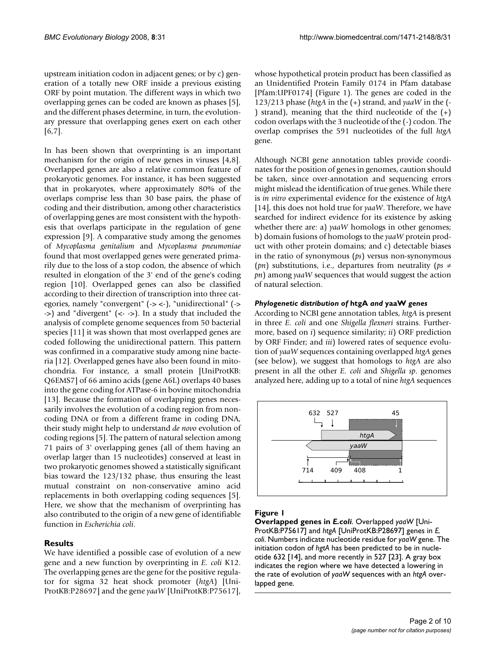upstream initiation codon in adjacent genes; or by c) generation of a totally new ORF inside a previous existing ORF by point mutation. The different ways in which two overlapping genes can be coded are known as phases [5], and the different phases determine, in turn, the evolutionary pressure that overlapping genes exert on each other [6,7].

In has been shown that overprinting is an important mechanism for the origin of new genes in viruses [4,8]. Overlapped genes are also a relative common feature of prokaryotic genomes. For instance, it has been suggested that in prokaryotes, where approximately 80% of the overlaps comprise less than 30 base pairs, the phase of coding and their distribution, among other characteristics of overlapping genes are most consistent with the hypothesis that overlaps participate in the regulation of gene expression [9]. A comparative study among the genomes of *Mycoplasma genitalium* and *Mycoplasma pneumoniae* found that most overlapped genes were generated primarily due to the loss of a stop codon, the absence of which resulted in elongation of the 3' end of the gene's coding region [10]. Overlapped genes can also be classified according to their direction of transcription into three categories, namely "convergent" (-> <-), "unidirectional" (-> ->) and "divergent" (<- ->). In a study that included the analysis of complete genome sequences from 50 bacterial species [11] it was shown that most overlapped genes are coded following the unidirectional pattern. This pattern was confirmed in a comparative study among nine bacteria [12]. Overlapped genes have also been found in mitochondria. For instance, a small protein [UniProtKB: Q6EMS7] of 66 amino acids (gene A6L) overlaps 40 bases into the gene coding for ATPase-6 in bovine mitochondria [13]. Because the formation of overlapping genes necessarily involves the evolution of a coding region from noncoding DNA or from a different frame in coding DNA, their study might help to understand *de novo* evolution of coding regions [5]. The pattern of natural selection among 71 pairs of 3' overlapping genes (all of them having an overlap larger than 15 nucleotides) conserved at least in two prokaryotic genomes showed a statistically significant bias toward the 123/132 phase, thus ensuring the least mutual constraint on non-conservative amino acid replacements in both overlapping coding sequences [5]. Here, we show that the mechanism of overprinting has also contributed to the origin of a new gene of identifiable function in *Escherichia coli*.

#### **Results**

We have identified a possible case of evolution of a new gene and a new function by overprinting in *E. coli* K12. The overlapping genes are the gene for the positive regulator for sigma 32 heat shock promoter (*htgA*) [Uni-ProtKB:P28697] and the gene *yaaW* [UniProtKB:P75617],

whose hypothetical protein product has been classified as an Unidentified Protein Family 0174 in Pfam database [Pfam:UPF0174] (Figure 1). The genes are coded in the 123/213 phase (*htgA* in the (+) strand, and *yaaW* in the (- ) strand), meaning that the third nucleotide of the (+) codon overlaps with the 3 nucleotide of the (-) codon. The overlap comprises the 591 nucleotides of the full *htgA* gene.

Although NCBI gene annotation tables provide coordinates for the position of genes in genomes, caution should be taken, since over-annotation and sequencing errors might mislead the identification of true genes. While there is *in vitro* experimental evidence for the existence of *htgA* [14], this does not hold true for *yaaW*. Therefore, we have searched for indirect evidence for its existence by asking whether there are: a) *yaaW* homologs in other genomes; b) domain fusions of homologs to the *yaaW* protein product with other protein domains; and c) detectable biases in the ratio of synonymous (*ps*) versus non-synonymous (*pn*) substitutions, i.e., departures from neutrality ( $ps \neq$ *pn*) among *yaaW* sequences that would suggest the action of natural selection.

#### *Phylogenetic distribution of* **htgA** *and* **yaaW** *genes*

According to NCBI gene annotation tables, *htgA* is present in three *E. coli* and one *Shigella flexneri* strains. Furthermore, based on *i*) sequence similarity; *ii*) ORF prediction by ORF Finder; and *iii*) lowered rates of sequence evolution of *yaaW* sequences containing overlapped *htgA* genes (see below), we suggest that homologs to *htgA* are also present in all the other *E. coli* and *Shigella sp*. genomes analyzed here, adding up to a total of nine *htgA* sequences



# **Figure 1**

**Overlapped genes in** *E.coli*. Overlapped *yaaW* [Uni-ProtKB:P75617] and *htgA* [UniProtKB:P28697] genes in *E. coli*. Numbers indicate nucleotide residue for *yaaW* gene. The initiation codon of *hgtA* has been predicted to be in nucleotide 632 [14], and more recently in 527 [23]. A gray box indicates the region where we have detected a lowering in the rate of evolution of *yaaW* sequences with an *htgA* overlapped gene.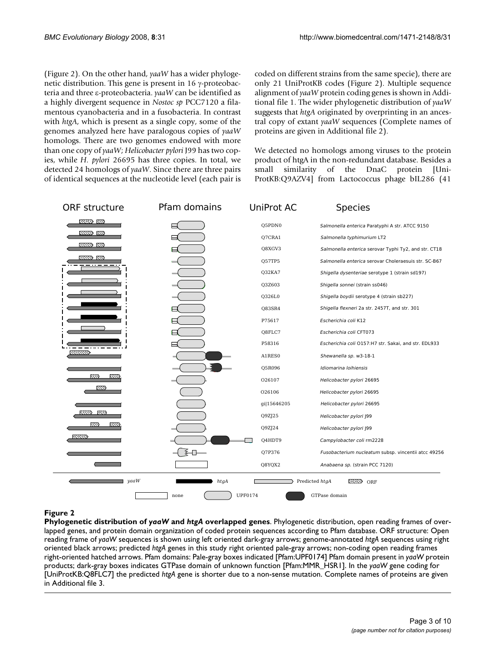(Figure 2). On the other hand, *yaaW* has a wider phylogenetic distribution. This gene is present in  $16 \gamma$ -proteobacteria and three  $\varepsilon$ -proteobacteria. *yaaW* can be identified as a highly divergent sequence in *Nostoc sp* PCC7120 a filamentous cyanobacteria and in a fusobacteria. In contrast with *htgA*, which is present as a single copy, some of the genomes analyzed here have paralogous copies of *yaaW* homologs. There are two genomes endowed with more than one copy of *yaaW*; *Helicobacter pylori* J99 has two copies, while *H. pylori* 26695 has three copies. In total, we detected 24 homologs of *yaaW*. Since there are three pairs of identical sequences at the nucleotide level (each pair is coded on different strains from the same specie), there are only 21 UniProtKB codes (Figure 2). Multiple sequence alignment of *yaaW* protein coding genes is shown in Additional file 1. The wider phylogenetic distribution of *yaaW* suggests that *htgA* originated by overprinting in an ancestral copy of extant *yaaW* sequences (Complete names of proteins are given in Additional file 2).

We detected no homologs among viruses to the protein product of htgA in the non-redundant database. Besides a small similarity of the DnaC protein [Uni-ProtKB:Q9AZV4] from Lactococcus phage bIL286 (41



# **Figure 2**

**Phylogenetic distribution of** *yaaW* **and** *htgA* **overlapped genes**. Phylogenetic distribution, open reading frames of overlapped genes, and protein domain organization of coded protein sequences according to Pfam database. ORF structure: Open reading frame of *yaaW* sequences is shown using left oriented dark-gray arrows; genome-annotated *htgA* sequences using right oriented black arrows; predicted *htgA* genes in this study right oriented pale-gray arrows; non-coding open reading frames right-oriented hatched arrows. Pfam domains: Pale-gray boxes indicated [Pfam:UPF0174] Pfam domain present in *yaaW* protein products; dark-gray boxes indicates GTPase domain of unknown function [Pfam:MMR\_HSR1]. In the *yaaW* gene coding for [UniProtKB:Q8FLC7] the predicted *htgA* gene is shorter due to a non-sense mutation. Complete names of proteins are given in Additional file 3.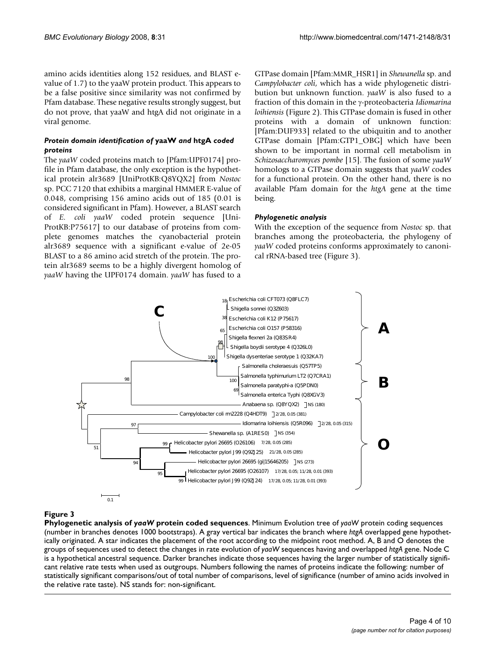amino acids identities along 152 residues, and BLAST evalue of 1.7) to the yaaW protein product. This appears to be a false positive since similarity was not confirmed by Pfam database. These negative results strongly suggest, but do not prove, that yaaW and htgA did not originate in a viral genome.

# *Protein domain identification of* **yaaW** *and* **htgA** *coded proteins*

The *yaaW* coded proteins match to [Pfam:UPF0174] profile in Pfam database, the only exception is the hypothetical protein alr3689 [UniProtKB:Q8YQX2] from *Nostoc* sp. PCC 7120 that exhibits a marginal HMMER E-value of 0.048, comprising 156 amino acids out of 185 (0.01 is considered significant in Pfam). However, a BLAST search of *E. coli yaaW* coded protein sequence [Uni-ProtKB:P75617] to our database of proteins from complete genomes matches the cyanobacterial protein alr3689 sequence with a significant e-value of 2e-05 BLAST to a 86 amino acid stretch of the protein. The protein alr3689 seems to be a highly divergent homolog of *yaaW* having the UPF0174 domain. *yaaW* has fused to a GTPase domain [Pfam:MMR\_HSR1] in *Shewanella* sp. and *Campylobacter coli*, which has a wide phylogenetic distribution but unknown function. *yaaW* is also fused to a fraction of this domain in the J-proteobacteria *Idiomarina loihiensis* (Figure 2). This GTPase domain is fused in other proteins with a domain of unknown function: [Pfam:DUF933] related to the ubiquitin and to another GTPase domain [Pfam:GTP1\_OBG] which have been shown to be important in normal cell metabolism in *Schizosaccharomyces pombe* [15]. The fusion of some *yaaW* homologs to a GTPase domain suggests that *yaaW* codes for a functional protein. On the other hand, there is no available Pfam domain for the *htgA* gene at the time being.

# *Phylogenetic analysis*

With the exception of the sequence from *Nostoc* sp. that branches among the proteobacteria, the phylogeny of *yaaW* coded proteins conforms approximately to canonical rRNA-based tree (Figure 3).



# **Figure 3**

**Phylogenetic analysis of** *yaaW* **protein coded sequences**. Minimum Evolution tree of *yaaW* protein coding sequences (number in branches denotes 1000 bootstraps). A gray vertical bar indicates the branch where *htgA* overlapped gene hypothetically originated. A star indicates the placement of the root according to the midpoint root method. A, B and O denotes the groups of sequences used to detect the changes in rate evolution of *yaaW* sequences having and overlapped *htgA* gene. Node C is a hypothetical ancestral sequence. Darker branches indicate those sequences having the larger number of statistically significant relative rate tests when used as outgroups. Numbers following the names of proteins indicate the following: number of statistically significant comparisons/out of total number of comparisons, level of significance (number of amino acids involved in the relative rate taste). NS stands for: non-significant.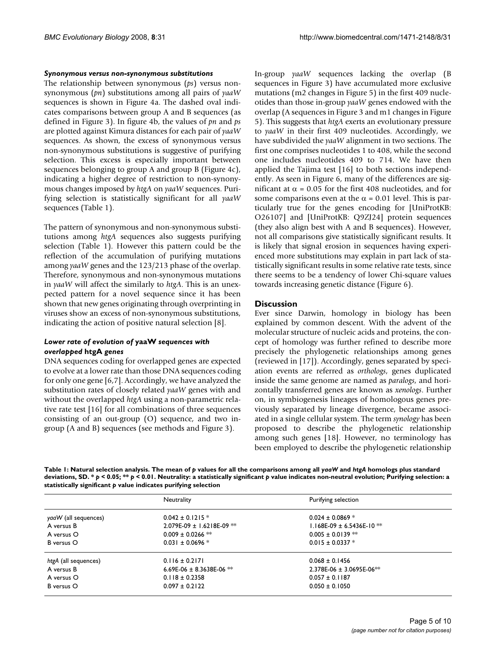#### *Synonymous versus non-synonymous substitutions*

The relationship between synonymous (*ps*) versus nonsynonymous (*pn*) substitutions among all pairs of *yaaW* sequences is shown in Figure 4a. The dashed oval indicates comparisons between group A and B sequences (as defined in Figure 3). In figure 4b, the values of *pn* and *ps* are plotted against Kimura distances for each pair of *yaaW* sequences. As shown, the excess of synonymous versus non-synonymous substitutions is suggestive of purifying selection. This excess is especially important between sequences belonging to group A and group B (Figure 4c), indicating a higher degree of restriction to non-synonymous changes imposed by *htgA* on *yaaW* sequences. Purifying selection is statistically significant for all *yaaW* sequences (Table 1).

The pattern of synonymous and non-synonymous substitutions among *htgA* sequences also suggests purifying selection (Table 1). However this pattern could be the reflection of the accumulation of purifying mutations among *yaaW* genes and the 123/213 phase of the overlap. Therefore, synonymous and non-synonymous mutations in *yaaW* will affect the similarly to *htgA*. This is an unexpected pattern for a novel sequence since it has been shown that new genes originating through overprinting in viruses show an excess of non-synonymous substitutions, indicating the action of positive natural selection [8].

#### *Lower rate of evolution of* **yaaW** *sequences with overlapped* **htgA** *genes*

DNA sequences coding for overlapped genes are expected to evolve at a lower rate than those DNA sequences coding for only one gene [6,7]. Accordingly, we have analyzed the substitution rates of closely related *yaaW* genes with and without the overlapped *htgA* using a non-parametric relative rate test [16] for all combinations of three sequences consisting of an out-group (O) sequence, and two ingroup (A and B) sequences (see methods and Figure 3).

In-group *yaaW* sequences lacking the overlap (B sequences in Figure 3) have accumulated more exclusive mutations (m2 changes in Figure 5) in the first 409 nucleotides than those in-group *yaaW* genes endowed with the overlap (A sequences in Figure 3 and m1 changes in Figure 5). This suggests that *htgA* exerts an evolutionary pressure to *yaaW* in their first 409 nucleotides. Accordingly, we have subdivided the *yaaW* alignment in two sections. The first one comprises nucleotides 1 to 408, while the second one includes nucleotides 409 to 714. We have then applied the Tajima test [16] to both sections independently. As seen in Figure 6, many of the differences are significant at  $\alpha$  = 0.05 for the first 408 nucleotides, and for some comparisons even at the  $\alpha$  = 0.01 level. This is particularly true for the genes encoding for [UniProtKB: O26107] and [UniProtKB: Q9ZJ24] protein sequences (they also align best with A and B sequences). However, not all comparisons give statistically significant results. It is likely that signal erosion in sequences having experienced more substitutions may explain in part lack of statistically significant results in some relative rate tests, since there seems to be a tendency of lower Chi-square values towards increasing genetic distance (Figure 6).

# **Discussion**

Ever since Darwin, homology in biology has been explained by common descent. With the advent of the molecular structure of nucleic acids and proteins, the concept of homology was further refined to describe more precisely the phylogenetic relationships among genes (reviewed in [17]). Accordingly, genes separated by speciation events are referred as *orthologs*, genes duplicated inside the same genome are named as *paralogs*, and horizontally transferred genes are known as *xenologs*. Further on, in symbiogenesis lineages of homologous genes previously separated by lineage divergence, became associated in a single cellular system. The term *synology* has been proposed to describe the phylogenetic relationship among such genes [18]. However, no terminology has been employed to describe the phylogenetic relationship

**Table 1: Natural selection analysis. The mean of** *p* **values for all the comparisons among all** *yaaW* **and** *htgA* **homologs plus standard deviations, SD. \*** *p* **< 0.05; \*\*** *p* **< 0.01. Neutrality: a statistically significant** *p* **value indicates non-neutral evolution; Purifying selection: a statistically significant** *p* **value indicates purifying selection**

|                      | Neutrality                               | Purifying selection             |  |
|----------------------|------------------------------------------|---------------------------------|--|
| yaaW (all sequences) | $0.042 \pm 0.1215$ *                     | $0.024 \pm 0.0869$ *            |  |
| A versus B           | $2.079E-09 \pm 1.6218E-09$ <sup>**</sup> | $1.168E-09 \pm 6.5436E-10$ **   |  |
| A versus O           | $0.009 \pm 0.0266$ **                    | $0.005 \pm 0.0139$ **           |  |
| B versus O           | $0.031 \pm 0.0696$ *                     | $0.015 \pm 0.0337$ *            |  |
| htgA (all sequences) | $0.116 \pm 0.2171$                       | $0.068 \pm 0.1456$              |  |
| A versus B           | 6.69E-06 ± 8.3638E-06 $**$               | $2.378E-06 \pm 3.0695E-06^{**}$ |  |
| A versus O           | $0.118 \pm 0.2358$                       | $0.057 \pm 0.1187$              |  |
| B versus O           | $0.097 \pm 0.2122$                       | $0.050 \pm 0.1050$              |  |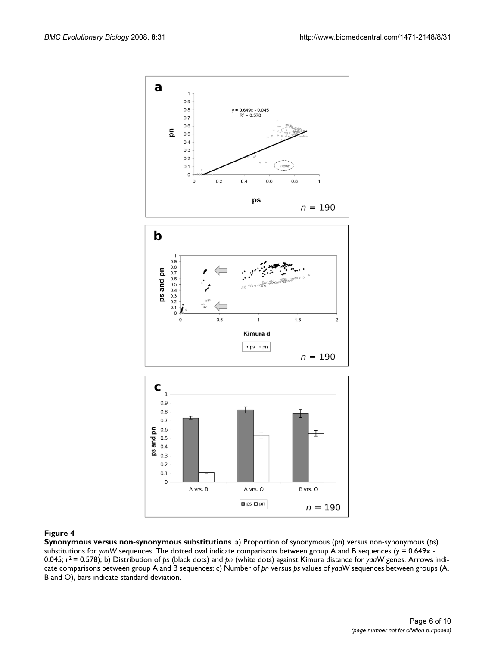

#### **Figure 4**

**Synonymous versus non-synonymous substitutions**. a) Proportion of synonymous (*pn*) versus non-synonymous (*ps*) substitutions for *yaaW* sequences. The dotted oval indicate comparisons between group A and B sequences (y = 0.649x -0.045; r2 = 0.578); b) Distribution of *ps* (black dots) and *pn* (white dots) against Kimura distance for *yaaW* genes. Arrows indicate comparisons between group A and B sequences; c) Number of *pn* versus *ps* values of *yaaW* sequences between groups (A, B and O), bars indicate standard deviation.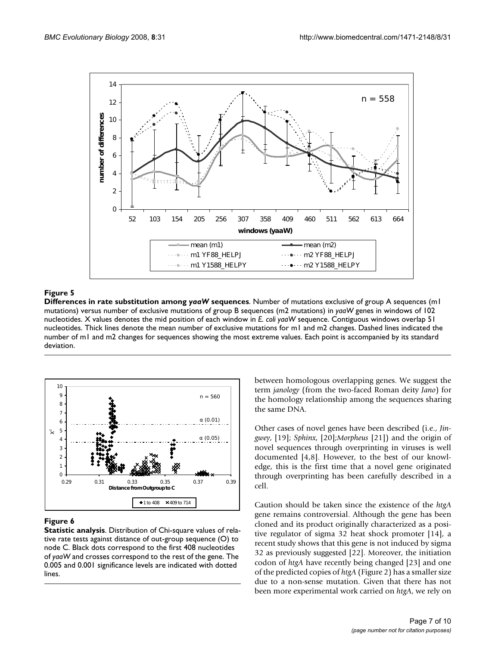

# **Figure 5**

**Differences in rate substitution among** *yaaW* **sequences**. Number of mutations exclusive of group A sequences (m1 mutations) versus number of exclusive mutations of group B sequences (m2 mutations) in *yaaW* genes in windows of 102 nucleotides. X values denotes the mid position of each window in *E. coli yaaW* sequence. Contiguous windows overlap 51 nucleotides. Thick lines denote the mean number of exclusive mutations for m1 and m2 changes. Dashed lines indicated the number of m1 and m2 changes for sequences showing the most extreme values. Each point is accompanied by its standard deviation.



# **Figure 6**

**Statistic analysis**. Distribution of Chi-square values of relative rate tests against distance of out-group sequence (O) to node C. Black dots correspond to the first 408 nucleotides of *yaaW* and crosses correspond to the rest of the gene. The 0.005 and 0.001 significance levels are indicated with dotted lines.

between homologous overlapping genes. We suggest the term *janology* (from the two-faced Roman deity *Jano*) for the homology relationship among the sequences sharing the same DNA.

Other cases of novel genes have been described (i.e., *Jingwey*, [19]; *Sphinx*, [20];*Morpheus* [21]) and the origin of novel sequences through overprinting in viruses is well documented [4,8]. However, to the best of our knowledge, this is the first time that a novel gene originated through overprinting has been carefully described in a cell.

Caution should be taken since the existence of the *htgA* gene remains controversial. Although the gene has been cloned and its product originally characterized as a positive regulator of sigma 32 heat shock promoter [14], a recent study shows that this gene is not induced by sigma 32 as previously suggested [22]. Moreover, the initiation codon of *htgA* have recently being changed [23] and one of the predicted copies of *htgA* (Figure 2) has a smaller size due to a non-sense mutation. Given that there has not been more experimental work carried on *htgA*, we rely on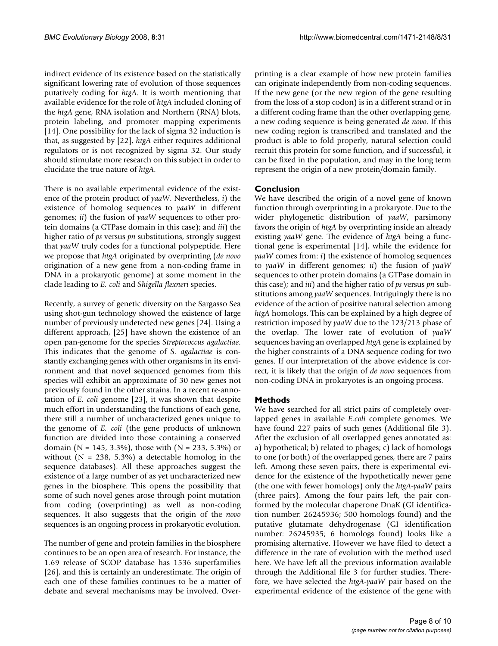indirect evidence of its existence based on the statistically significant lowering rate of evolution of those sequences putatively coding for *htgA*. It is worth mentioning that available evidence for the role of *htgA* included cloning of the *htgA* gene, RNA isolation and Northern (RNA) blots, protein labeling, and promoter mapping experiments [14]. One possibility for the lack of sigma 32 induction is that, as suggested by [22], *htgA* either requires additional regulators or is not recognized by sigma 32. Our study should stimulate more research on this subject in order to elucidate the true nature of *htgA*.

There is no available experimental evidence of the existence of the protein product of *yaaW*. Nevertheless, *i*) the existence of homolog sequences to *yaaW* in different genomes; *ii*) the fusion of *yaaW* sequences to other protein domains (a GTPase domain in this case); and *iii*) the higher ratio of *ps* versus *pn* substitutions, strongly suggest that *yaaW* truly codes for a functional polypeptide. Here we propose that *htgA* originated by overprinting (*de novo* origination of a new gene from a non-coding frame in DNA in a prokaryotic genome) at some moment in the clade leading to *E. coli* and *Shigella flexneri* species.

Recently, a survey of genetic diversity on the Sargasso Sea using shot-gun technology showed the existence of large number of previously undetected new genes [24]. Using a different approach, [25] have shown the existence of an open pan-genome for the species *Streptococcus agalactiae*. This indicates that the genome of *S. agalactiae* is constantly exchanging genes with other organisms in its environment and that novel sequenced genomes from this species will exhibit an approximate of 30 new genes not previously found in the other strains. In a recent re-annotation of *E. coli* genome [23], it was shown that despite much effort in understanding the functions of each gene, there still a number of uncharacterized genes unique to the genome of *E. coli* (the gene products of unknown function are divided into those containing a conserved domain (N = 145, 3.3%), those with (N = 233, 5.3%) or without ( $N = 238, 5.3\%$ ) a detectable homolog in the sequence databases). All these approaches suggest the existence of a large number of as yet uncharacterized new genes in the biosphere. This opens the possibility that some of such novel genes arose through point mutation from coding (overprinting) as well as non-coding sequences. It also suggests that the origin of the *novo* sequences is an ongoing process in prokaryotic evolution.

The number of gene and protein families in the biosphere continues to be an open area of research. For instance, the 1.69 release of SCOP database has 1536 superfamilies [26], and this is certainly an underestimate. The origin of each one of these families continues to be a matter of debate and several mechanisms may be involved. Overprinting is a clear example of how new protein families can originate independently from non-coding sequences. If the new gene (or the new region of the gene resulting from the loss of a stop codon) is in a different strand or in a different coding frame than the other overlapping gene, a new coding sequence is being generated *de novo*. If this new coding region is transcribed and translated and the product is able to fold properly, natural selection could recruit this protein for some function, and if successful, it can be fixed in the population, and may in the long term represent the origin of a new protein/domain family.

# **Conclusion**

We have described the origin of a novel gene of known function through overprinting in a prokaryote. Due to the wider phylogenetic distribution of *yaaW*, parsimony favors the origin of *htgA* by overprinting inside an already existing *yaaW* gene. The evidence of *htgA* being a functional gene is experimental [14], while the evidence for *yaaW* comes from: *i*) the existence of homolog sequences to *yaaW* in different genomes; *ii*) the fusion of *yaaW* sequences to other protein domains (a GTPase domain in this case); and *iii*) and the higher ratio of *ps* versus *pn* substitutions among *yaaW* sequences. Intriguingly there is no evidence of the action of positive natural selection among *htgA* homologs. This can be explained by a high degree of restriction imposed by *yaaW* due to the 123/213 phase of the overlap. The lower rate of evolution of *yaaW* sequences having an overlapped *htgA* gene is explained by the higher constraints of a DNA sequence coding for two genes. If our interpretation of the above evidence is correct, it is likely that the origin of *de novo* sequences from non-coding DNA in prokaryotes is an ongoing process.

# **Methods**

We have searched for all strict pairs of completely overlapped genes in available *E.coli* complete genomes. We have found 227 pairs of such genes (Additional file 3). After the exclusion of all overlapped genes annotated as: a) hypothetical; b) related to phages; c) lack of homologs to one (or both) of the overlapped genes, there are 7 pairs left. Among these seven pairs, there is experimental evidence for the existence of the hypothetically newer gene (the one with fewer homologs) only the *htgA*-*yaaW* pairs (three pairs). Among the four pairs left, the pair conformed by the molecular chaperone DnaK (GI identification number: 26245936; 500 homologs found) and the putative glutamate dehydrogenase (GI identification number: 26245935; 6 homologs found) looks like a promising alternative. However we have filed to detect a difference in the rate of evolution with the method used here. We have left all the previous information available through the Additional file 3 for further studies. Therefore, we have selected the *htgA*-*yaaW* pair based on the experimental evidence of the existence of the gene with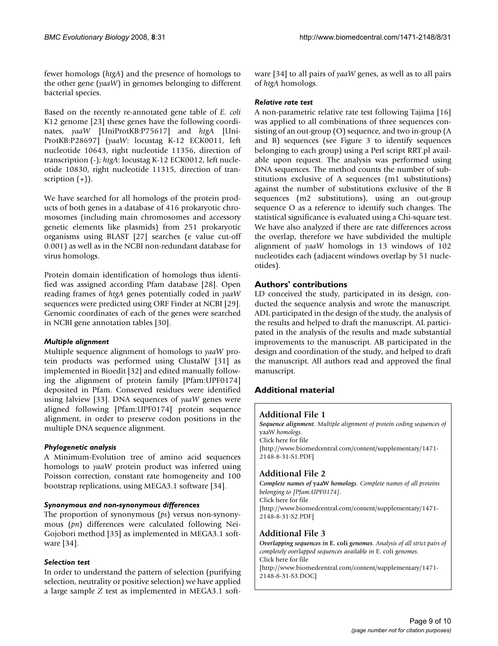fewer homologs (*htgA*) and the presence of homologs to the other gene (*yaaW*) in genomes belonging to different bacterial species.

Based on the recently re-annotated gene table of *E. coli* K12 genome [23] these genes have the following coordinates, *yaaW* [UniProtKB:P75617] and *htgA* [Uni-ProtKB:P28697] (*yaaW*: locustag K-12 ECK0011, left nucleotide 10643, right nucleotide 11356, direction of transcription (-); *htgA*: locustag K-12 ECK0012, left nucleotide 10830, right nucleotide 11315, direction of transcription  $(+)$ ).

We have searched for all homologs of the protein products of both genes in a database of 416 prokaryotic chromosomes (including main chromosomes and accessory genetic elements like plasmids) from 251 prokaryotic organisms using BLAST [27] searches (e value cut-off 0.001) as well as in the NCBI non-redundant database for virus homologs.

Protein domain identification of homologs thus identified was assigned according Pfam database [28]. Open reading frames of *htgA* genes potentially coded in *yaaW* sequences were predicted using ORF Finder at NCBI [29]. Genomic coordinates of each of the genes were searched in NCBI gene annotation tables [30].

# *Multiple alignment*

Multiple sequence alignment of homologs to *yaaW* protein products was performed using ClustalW [31] as implemented in Bioedit [32] and edited manually following the alignment of protein family [Pfam:UPF0174] deposited in Pfam. Conserved residues were identified using Jalview [33]. DNA sequences of *yaaW* genes were aligned following [Pfam:UPF0174] protein sequence alignment, in order to preserve codon positions in the multiple DNA sequence alignment.

# *Phylogenetic analysis*

A Minimum-Evolution tree of amino acid sequences homologs to *yaaW* protein product was inferred using Poisson correction, constant rate homogeneity and 100 bootstrap replications, using MEGA3.1 software [34].

# *Synonymous and non-synonymous differences*

The proportion of synonymous (*ps*) versus non-synonymous (*pn*) differences were calculated following Nei-Gojobori method [35] as implemented in MEGA3.1 software [34].

# *Selection test*

In order to understand the pattern of selection (purifying selection, neutrality or positive selection) we have applied a large sample *Z* test as implemented in MEGA3.1 software [34] to all pairs of *yaaW* genes, as well as to all pairs of *htgA* homologs.

#### *Relative rate test*

A non-parametric relative rate test following Tajima [16] was applied to all combinations of three sequences consisting of an out-group (O) sequence, and two in-group (A and B) sequences (see Figure 3 to identify sequences belonging to each group) using a Perl script RRT.pl available upon request. The analysis was performed using DNA sequences. The method counts the number of substitutions exclusive of A sequences (m1 substitutions) against the number of substitutions exclusive of the B sequences (m2 substitutions), using an out-group sequence O as a reference to identify such changes. The statistical significance is evaluated using a Chi-square test. We have also analyzed if there are rate differences across the overlap, therefore we have subdivided the multiple alignment of *yaaW* homologs in 13 windows of 102 nucleotides each (adjacent windows overlap by 51 nucleotides).

# **Authors' contributions**

LD conceived the study, participated in its design, conducted the sequence analysis and wrote the manuscript. ADL participated in the design of the study, the analysis of the results and helped to draft the manuscript. AL participated in the analysis of the results and made substantial improvements to the manuscript. AB participated in the design and coordination of the study, and helped to draft the manuscript. All authors read and approved the final manuscript.

# **Additional material**

# **Additional File 1**

*Sequence alignment. Multiple alignment of protein coding sequences of*  yaaW *homologs.* Click here for file [http://www.biomedcentral.com/content/supplementary/1471- 2148-8-31-S1.PDF]

# **Additional File 2**

*Complete names of* **yaaW** *homologs. Complete names of all proteins belonging to [Pfam:UPF0174].* Click here for file [http://www.biomedcentral.com/content/supplementary/1471- 2148-8-31-S2.PDF]

# **Additional File 3**

*Overlapping sequences in* **E. coli** *genomes. Analysis of all strict pairs of completely overlapped sequences available in* E. coli *genomes.* Click here for file [http://www.biomedcentral.com/content/supplementary/1471- 2148-8-31-S3.DOC]